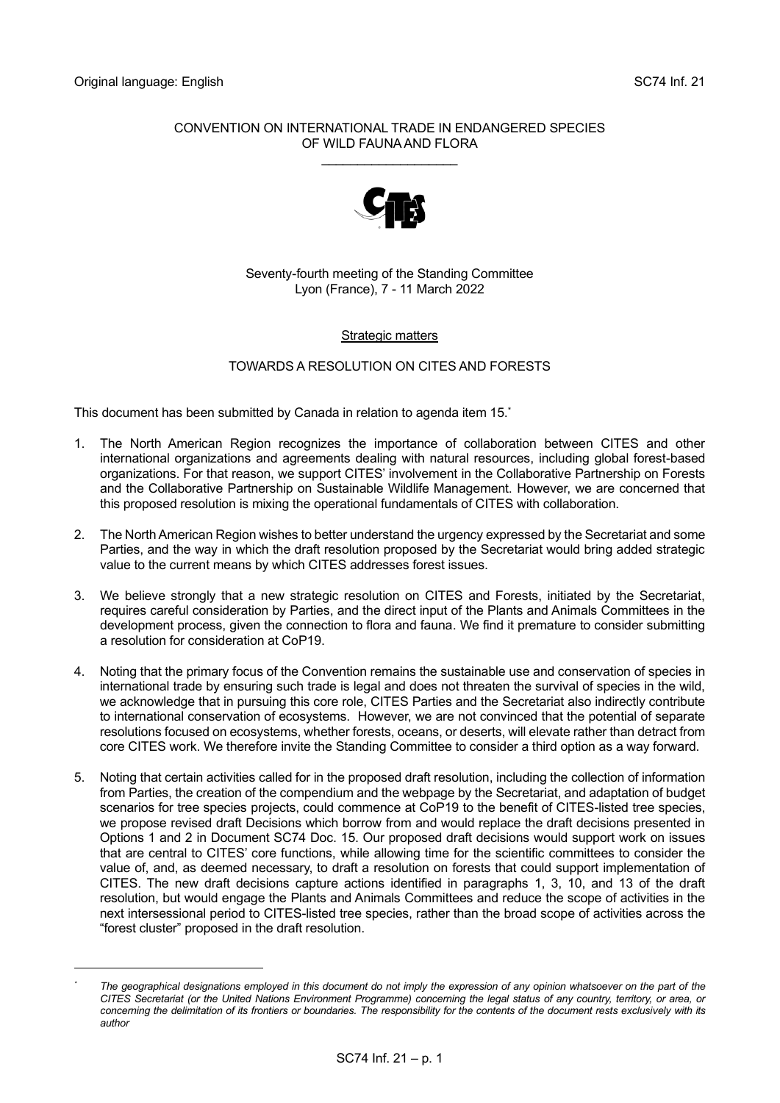## CONVENTION ON INTERNATIONAL TRADE IN ENDANGERED SPECIES OF WILD FAUNA AND FLORA

\_\_\_\_\_\_\_\_\_\_\_\_\_\_\_\_\_\_\_



# Seventy-fourth meeting of the Standing Committee Lyon (France), 7 - 11 March 2022

# **Strategic matters**

# TOWARDS A RESOLUTION ON CITES AND FORESTS

This document has been submitted by Canada in relation to agenda item 15.\*

- 1. The North American Region recognizes the importance of collaboration between CITES and other international organizations and agreements dealing with natural resources, including global forest-based organizations. For that reason, we support CITES' involvement in the Collaborative Partnership on Forests and the Collaborative Partnership on Sustainable Wildlife Management. However, we are concerned that this proposed resolution is mixing the operational fundamentals of CITES with collaboration.
- 2. The North American Region wishes to better understand the urgency expressed by the Secretariat and some Parties, and the way in which the draft resolution proposed by the Secretariat would bring added strategic value to the current means by which CITES addresses forest issues.
- 3. We believe strongly that a new strategic resolution on CITES and Forests, initiated by the Secretariat, requires careful consideration by Parties, and the direct input of the Plants and Animals Committees in the development process, given the connection to flora and fauna. We find it premature to consider submitting a resolution for consideration at CoP19.
- 4. Noting that the primary focus of the Convention remains the sustainable use and conservation of species in international trade by ensuring such trade is legal and does not threaten the survival of species in the wild, we acknowledge that in pursuing this core role, CITES Parties and the Secretariat also indirectly contribute to international conservation of ecosystems. However, we are not convinced that the potential of separate resolutions focused on ecosystems, whether forests, oceans, or deserts, will elevate rather than detract from core CITES work. We therefore invite the Standing Committee to consider a third option as a way forward.
- 5. Noting that certain activities called for in the proposed draft resolution, including the collection of information from Parties, the creation of the compendium and the webpage by the Secretariat, and adaptation of budget scenarios for tree species projects, could commence at CoP19 to the benefit of CITES-listed tree species, we propose revised draft Decisions which borrow from and would replace the draft decisions presented in Options 1 and 2 in Document SC74 Doc. 15. Our proposed draft decisions would support work on issues that are central to CITES' core functions, while allowing time for the scientific committees to consider the value of, and, as deemed necessary, to draft a resolution on forests that could support implementation of CITES. The new draft decisions capture actions identified in paragraphs 1, 3, 10, and 13 of the draft resolution, but would engage the Plants and Animals Committees and reduce the scope of activities in the next intersessional period to CITES-listed tree species, rather than the broad scope of activities across the "forest cluster" proposed in the draft resolution.

The geographical designations employed in this document do not imply the expression of any opinion whatsoever on the part of the *CITES Secretariat (or the United Nations Environment Programme) concerning the legal status of any country, territory, or area, or concerning the delimitation of its frontiers or boundaries. The responsibility for the contents of the document rests exclusively with its author*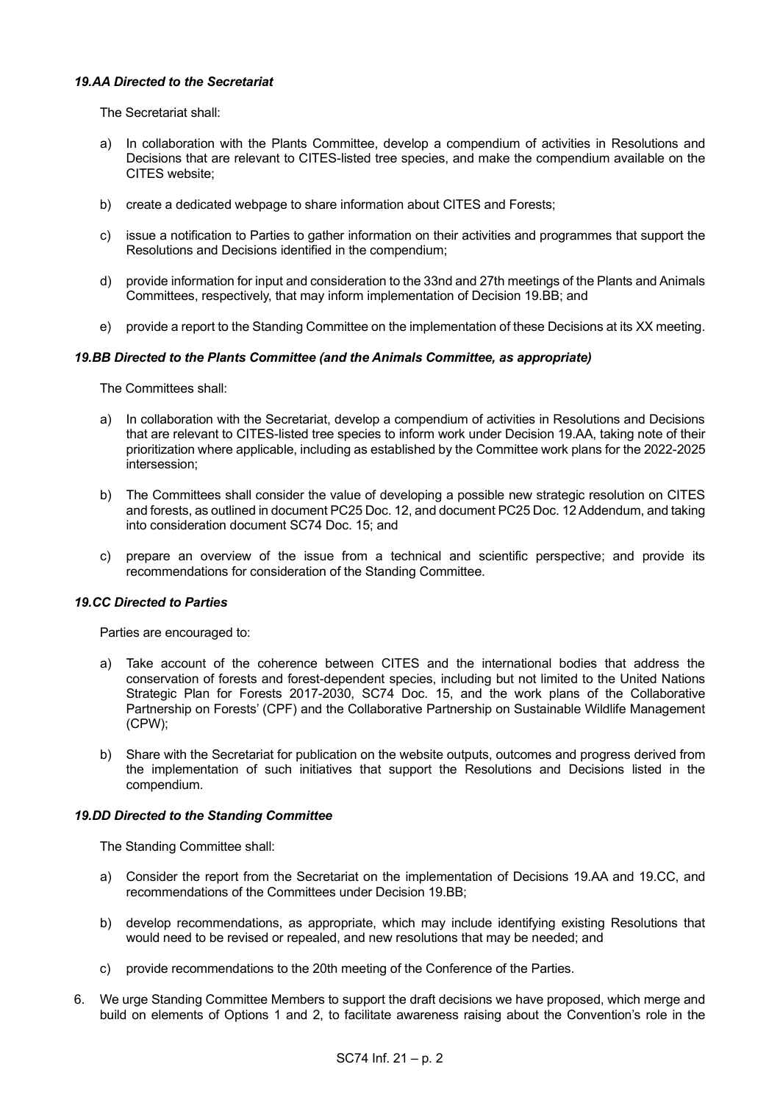## *19.AA Directed to the Secretariat*

The Secretariat shall:

- a) In collaboration with the Plants Committee, develop a compendium of activities in Resolutions and Decisions that are relevant to CITES-listed tree species, and make the compendium available on the CITES website;
- b) create a dedicated webpage to share information about CITES and Forests;
- c) issue a notification to Parties to gather information on their activities and programmes that support the Resolutions and Decisions identified in the compendium;
- d) provide information for input and consideration to the 33nd and 27th meetings of the Plants and Animals Committees, respectively, that may inform implementation of Decision 19.BB; and
- e) provide a report to the Standing Committee on the implementation of these Decisions at its XX meeting.

### *19.BB Directed to the Plants Committee (and the Animals Committee, as appropriate)*

The Committees shall:

- a) In collaboration with the Secretariat, develop a compendium of activities in Resolutions and Decisions that are relevant to CITES-listed tree species to inform work under Decision 19.AA, taking note of their prioritization where applicable, including as established by the Committee work plans for the 2022-2025 intersession;
- b) The Committees shall consider the value of developing a possible new strategic resolution on CITES and forests, as outlined in document PC25 Doc. 12, and document PC25 Doc. 12 Addendum, and taking into consideration document SC74 Doc. 15; and
- c) prepare an overview of the issue from a technical and scientific perspective; and provide its recommendations for consideration of the Standing Committee.

### *19.CC Directed to Parties*

Parties are encouraged to:

- a) Take account of the coherence between CITES and the international bodies that address the conservation of forests and forest-dependent species, including but not limited to the United Nations Strategic Plan for Forests 2017-2030, SC74 Doc. 15, and the work plans of the Collaborative Partnership on Forests' (CPF) and the Collaborative Partnership on Sustainable Wildlife Management (CPW);
- b) Share with the Secretariat for publication on the website outputs, outcomes and progress derived from the implementation of such initiatives that support the Resolutions and Decisions listed in the compendium.

### *19.DD Directed to the Standing Committee*

The Standing Committee shall:

- a) Consider the report from the Secretariat on the implementation of Decisions 19.AA and 19.CC, and recommendations of the Committees under Decision 19.BB;
- b) develop recommendations, as appropriate, which may include identifying existing Resolutions that would need to be revised or repealed, and new resolutions that may be needed; and
- c) provide recommendations to the 20th meeting of the Conference of the Parties.
- 6. We urge Standing Committee Members to support the draft decisions we have proposed, which merge and build on elements of Options 1 and 2, to facilitate awareness raising about the Convention's role in the